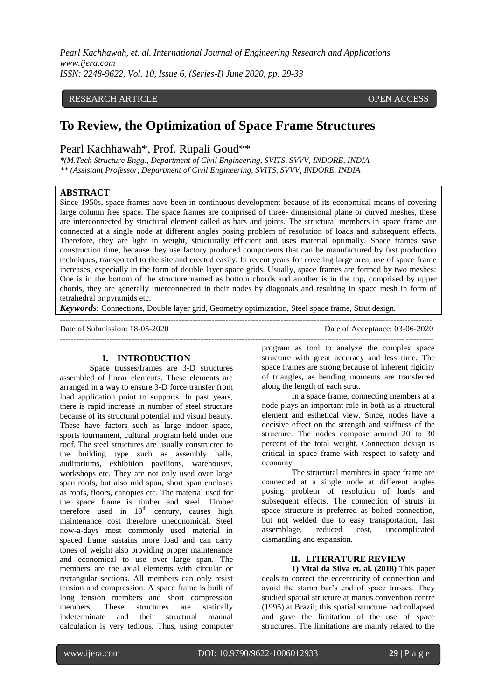*Pearl Kachhawah, et. al. International Journal of Engineering Research and Applications www.ijera.com ISSN: 2248-9622, Vol. 10, Issue 6, (Series-I) June 2020, pp. 29-33*

### RESEARCH ARTICLE **CONSERVERS** OPEN ACCESS

# **To Review, the Optimization of Space Frame Structures**

# Pearl Kachhawah\*, Prof. Rupali Goud\*\*

*\*(M.Tech Structure Engg., Department of Civil Engineering, SVITS, SVVV, INDORE, INDIA \*\* (Assistant Professor, Department of Civil Engineering, SVITS, SVVV, INDORE, INDIA*

### **ABSTRACT**

Since 1950s, space frames have been in continuous development because of its economical means of covering large column free space. The space frames are comprised of three- dimensional plane or curved meshes, these are interconnected by structural element called as bars and joints. The structural members in space frame are connected at a single node at different angles posing problem of resolution of loads and subsequent effects. Therefore, they are light in weight, structurally efficient and uses material optimally. Space frames save construction time, because they use factory produced components that can be manufactured by fast production techniques, transported to the site and erected easily. In recent years for covering large area, use of space frame increases, especially in the form of double layer space grids. Usually, space frames are formed by two meshes: One is in the bottom of the structure named as bottom chords and another is in the top, comprised by upper chords, they are generally interconnected in their nodes by diagonals and resulting in space mesh in form of tetrahedral or pyramids etc.

---------------------------------------------------------------------------------------------------------------------------------------

*Keywords*: Connections, Double layer grid, Geometry optimization, Steel space frame, Strut design.

Date of Submission: 18-05-2020 Date of Acceptance: 03-06-2020

# **I. INTRODUCTION**

Space trusses/frames are 3-D structures assembled of linear elements. These elements are arranged in a way to ensure 3-D force transfer from load application point to supports. In past years, there is rapid increase in number of steel structure because of its structural potential and visual beauty. These have factors such as large indoor space, sports tournament, cultural program held under one roof. The steel structures are usually constructed to the building type such as assembly halls, auditoriums, exhibition pavilions, warehouses, workshops etc. They are not only used over large span roofs, but also mid span, short span encloses as roofs, floors, canopies etc. The material used for the space frame is timber and steel. Timber therefore used in  $19<sup>th</sup>$  century, causes high maintenance cost therefore uneconomical. Steel now-a-days most commonly used material in spaced frame sustains more load and can carry tones of weight also providing proper maintenance and economical to use over large span. The members are the axial elements with circular or rectangular sections. All members can only resist tension and compression. A space frame is built of long tension members and short compression members. These structures are statically indeterminate and their structural manual calculation is very tedious. Thus, using computer program as tool to analyze the complex space structure with great accuracy and less time. The space frames are strong because of inherent rigidity of triangles, as bending moments are transferred along the length of each strut.

In a space frame, connecting members at a node plays an important role in both as a structural element and esthetical view. Since, nodes have a decisive effect on the strength and stiffness of the structure. The nodes compose around 20 to 30 percent of the total weight. Connection design is critical in space frame with respect to safety and economy.

The structural members in space frame are connected at a single node at different angles posing problem of resolution of loads and subsequent effects. The connection of struts in space structure is preferred as bolted connection, but not welded due to easy transportation, fast assemblage, reduced cost, uncomplicated dismantling and expansion.

## **II. LITERATURE REVIEW**

**1) Vital da Silva et. al. (2018)** This paper deals to correct the eccentricity of connection and avoid the stamp bar's end of space trusses. They studied spatial structure at manus convention centre (1995) at Brazil; this spatial structure had collapsed and gave the limitation of the use of space structures. The limitations are mainly related to the

---------------------------------------------------------------------------------------------------------------------------------------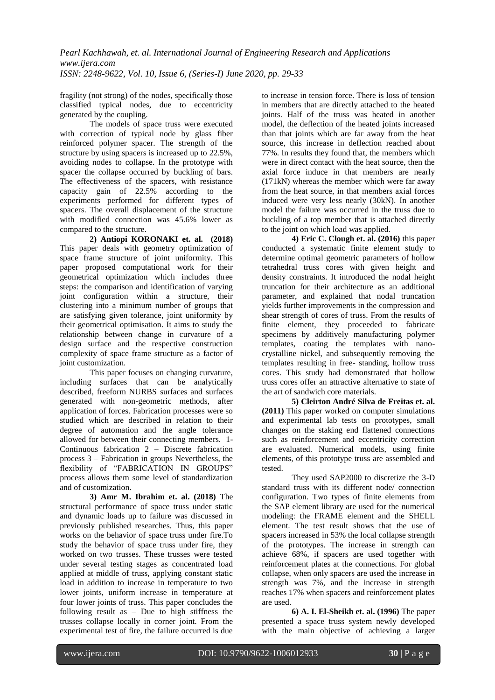fragility (not strong) of the nodes, specifically those classified typical nodes, due to eccentricity generated by the coupling.

The models of space truss were executed with correction of typical node by glass fiber reinforced polymer spacer. The strength of the structure by using spacers is increased up to 22.5%, avoiding nodes to collapse. In the prototype with spacer the collapse occurred by buckling of bars. The effectiveness of the spacers, with resistance capacity gain of 22.5% according to the experiments performed for different types of spacers. The overall displacement of the structure with modified connection was 45.6% lower as compared to the structure.

**2) Antiopi KORONAKI et. al. (2018)** This paper deals with geometry optimization of space frame structure of joint uniformity. This paper proposed computational work for their geometrical optimization which includes three steps: the comparison and identification of varying joint configuration within a structure, their clustering into a minimum number of groups that are satisfying given tolerance, joint uniformity by their geometrical optimisation. It aims to study the relationship between change in curvature of a design surface and the respective construction complexity of space frame structure as a factor of joint customization.

This paper focuses on changing curvature, including surfaces that can be analytically described, freeform NURBS surfaces and surfaces generated with non-geometric methods, after application of forces. Fabrication processes were so studied which are described in relation to their degree of automation and the angle tolerance allowed for between their connecting members. 1- Continuous fabrication 2 – Discrete fabrication process 3 – Fabrication in groups Nevertheless, the flexibility of "FABRICATION IN GROUPS" process allows them some level of standardization and of customization.

**3) Amr M. Ibrahim et. al. (2018)** The structural performance of space truss under static and dynamic loads up to failure was discussed in previously published researches. Thus, this paper works on the behavior of space truss under fire.To study the behavior of space truss under fire, they worked on two trusses. These trusses were tested under several testing stages as concentrated load applied at middle of truss, applying constant static load in addition to increase in temperature to two lower joints, uniform increase in temperature at four lower joints of truss. This paper concludes the following result as – Due to high stiffness the trusses collapse locally in corner joint. From the experimental test of fire, the failure occurred is due

to increase in tension force. There is loss of tension in members that are directly attached to the heated joints. Half of the truss was heated in another model, the deflection of the heated joints increased than that joints which are far away from the heat source, this increase in deflection reached about 77%. In results they found that, the members which were in direct contact with the heat source, then the axial force induce in that members are nearly (171kN) whereas the member which were far away from the heat source, in that members axial forces induced were very less nearly (30kN). In another model the failure was occurred in the truss due to buckling of a top member that is attached directly to the joint on which load was applied.

**4) Eric C. Clough et. al. (2016)** this paper conducted a systematic finite element study to determine optimal geometric parameters of hollow tetrahedral truss cores with given height and density constraints. It introduced the nodal height truncation for their architecture as an additional parameter, and explained that nodal truncation yields further improvements in the compression and shear strength of cores of truss. From the results of finite element, they proceeded to fabricate specimens by additively manufacturing polymer templates, coating the templates with nanocrystalline nickel, and subsequently removing the templates resulting in free- standing, hollow truss cores. This study had demonstrated that hollow truss cores offer an attractive alternative to state of the art of sandwich core materials.

**5) Cleirton André Silva de Freitas et. al. (2011)** This paper worked on computer simulations and experimental lab tests on prototypes, small changes on the staking end flattened connections such as reinforcement and eccentricity correction are evaluated. Numerical models, using finite elements, of this prototype truss are assembled and tested.

They used SAP2000 to discretize the 3-D standard truss with its different node/ connection configuration. Two types of finite elements from the SAP element library are used for the numerical modeling: the FRAME element and the SHELL element. The test result shows that the use of spacers increased in 53% the local collapse strength of the prototypes. The increase in strength can achieve 68%, if spacers are used together with reinforcement plates at the connections. For global collapse, when only spacers are used the increase in strength was 7%, and the increase in strength reaches 17% when spacers and reinforcement plates are used.

**6) A. I. El-Sheikh et. al. (1996)** The paper presented a space truss system newly developed with the main objective of achieving a larger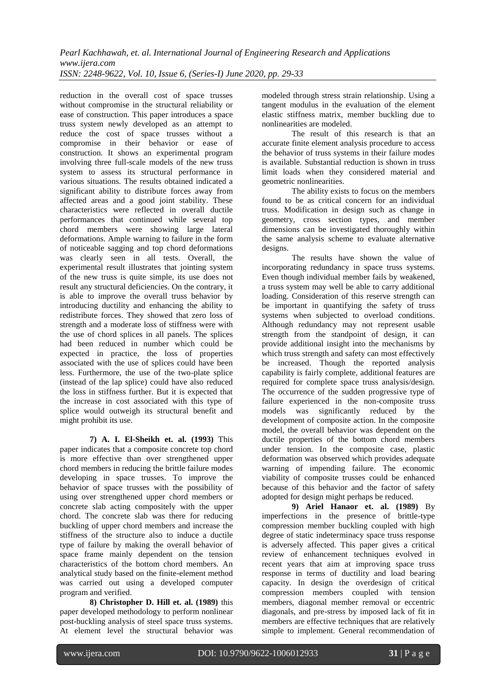reduction in the overall cost of space trusses without compromise in the structural reliability or ease of construction. This paper introduces a space truss system newly developed as an attempt to reduce the cost of space trusses without a compromise in their behavior or ease of construction. It shows an experimental program involving three full-scale models of the new truss system to assess its structural performance in various situations. The results obtained indicated a significant ability to distribute forces away from affected areas and a good joint stability. These characteristics were reflected in overall ductile performances that continued while several top chord members were showing large lateral deformations. Ample warning to failure in the form of noticeable sagging and top chord deformations was clearly seen in all tests. Overall, the experimental result illustrates that jointing system of the new truss is quite simple, its use does not result any structural deficiencies. On the contrary, it is able to improve the overall truss behavior by introducing ductility and enhancing the ability to redistribute forces. They showed that zero loss of strength and a moderate loss of stiffness were with the use of chord splices in all panels. The splices had been reduced in number which could be expected in practice, the loss of properties associated with the use of splices could have been less. Furthermore, the use of the two-plate splice (instead of the lap splice) could have also reduced the loss in stiffness further. But it is expected that the increase in cost associated with this type of splice would outweigh its structural benefit and might prohibit its use.

**7) A. I. El-Sheikh et. al. (1993)** This paper indicates that a composite concrete top chord is more effective than over strengthened upper chord members in reducing the brittle failure modes developing in space trusses. To improve the behavior of space trusses with the possibility of using over strengthened upper chord members or concrete slab acting compositely with the upper chord. The concrete slab was there for reducing buckling of upper chord members and increase the stiffness of the structure also to induce a ductile type of failure by making the overall behavior of space frame mainly dependent on the tension characteristics of the bottom chord members. An analytical study based on the finite-element method was carried out using a developed computer program and verified.

**8) Christopher D. Hill et. al. (1989)** this paper developed methodology to perform nonlinear post-buckling analysis of steel space truss systems. At element level the structural behavior was modeled through stress strain relationship. Using a tangent modulus in the evaluation of the element elastic stiffness matrix, member buckling due to nonlinearities are modeled.

The result of this research is that an accurate finite element analysis procedure to access the behavior of truss systems in their failure modes is available. Substantial reduction is shown in truss limit loads when they considered material and geometric nonlinearities.

The ability exists to focus on the members found to be as critical concern for an individual truss. Modification in design such as change in geometry, cross section types, and member dimensions can be investigated thoroughly within the same analysis scheme to evaluate alternative designs.

The results have shown the value of incorporating redundancy in space truss systems. Even though individual member fails by weakened, a truss system may well be able to carry additional loading. Consideration of this reserve strength can be important in quantifying the safety of truss systems when subjected to overload conditions. Although redundancy may not represent usable strength from the standpoint of design, it can provide additional insight into the mechanisms by which truss strength and safety can most effectively be increased. Though the reported analysis capability is fairly complete, additional features are required for complete space truss analysis/design. The occurrence of the sudden progressive type of failure experienced in the non-composite truss models was significantly reduced by the development of composite action. In the composite model, the overall behavior was dependent on the ductile properties of the bottom chord members under tension. In the composite case, plastic deformation was observed which provides adequate warning of impending failure. The economic viability of composite trusses could be enhanced because of this behavior and the factor of safety adopted for design might perhaps be reduced.

**9) Ariel Hanaor et. al. (1989)** By imperfections in the presence of brittle-type compression member buckling coupled with high degree of static indeterminacy space truss response is adversely affected. This paper gives a critical review of enhancement techniques evolved in recent years that aim at improving space truss response in terms of ductility and load bearing capacity. In design the overdesign of critical compression members coupled with tension members, diagonal member removal or eccentric diagonals, and pre-stress by imposed lack of fit in members are effective techniques that are relatively simple to implement. General recommendation of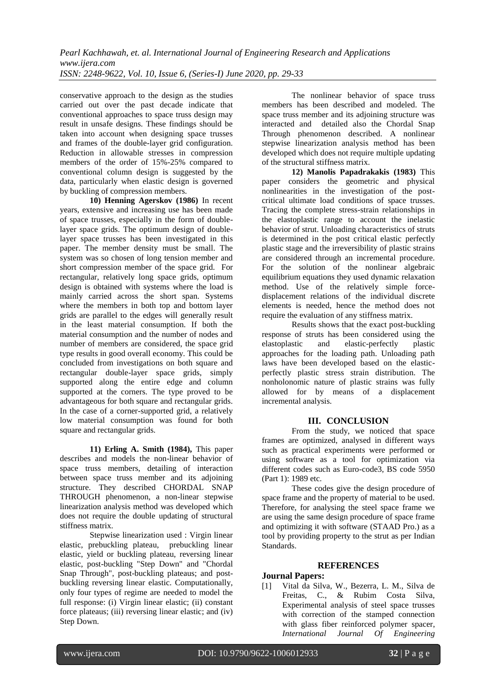conservative approach to the design as the studies carried out over the past decade indicate that conventional approaches to space truss design may result in unsafe designs. These findings should be taken into account when designing space trusses and frames of the double-layer grid configuration. Reduction in allowable stresses in compression members of the order of 15%-25% compared to conventional column design is suggested by the data, particularly when elastic design is governed by buckling of compression members.

**10) Henning Agerskov (1986)** In recent years, extensive and increasing use has been made of space trusses, especially in the form of doublelayer space grids. The optimum design of doublelayer space trusses has been investigated in this paper. The member density must be small. The system was so chosen of long tension member and short compression member of the space grid. For rectangular, relatively long space grids, optimum design is obtained with systems where the load is mainly carried across the short span. Systems where the members in both top and bottom layer grids are parallel to the edges will generally result in the least material consumption. If both the material consumption and the number of nodes and number of members are considered, the space grid type results in good overall economy. This could be concluded from investigations on both square and rectangular double-layer space grids, simply supported along the entire edge and column supported at the corners. The type proved to be advantageous for both square and rectangular grids. In the case of a corner-supported grid, a relatively low material consumption was found for both square and rectangular grids.

**11) Erling A. Smith (1984),** This paper describes and models the non-linear behavior of space truss members, detailing of interaction between space truss member and its adjoining structure. They described CHORDAL SNAP THROUGH phenomenon, a non-linear stepwise linearization analysis method was developed which does not require the double updating of structural stiffness matrix.

Stepwise linearization used : Virgin linear elastic, prebuckling plateau, prebuckling linear elastic, yield or buckling plateau, reversing linear elastic, post-buckling "Step Down" and "Chordal Snap Through", post-buckling plateaus; and postbuckling reversing linear elastic. Computationally, only four types of regime are needed to model the full response: (i) Virgin linear elastic; (ii) constant force plateaus; (iii) reversing linear elastic; and (iv) Step Down.

The nonlinear behavior of space truss members has been described and modeled. The space truss member and its adjoining structure was interacted and detailed also the Chordal Snap Through phenomenon described. A nonlinear stepwise linearization analysis method has been developed which does not require multiple updating of the structural stiffness matrix.

**12) Manolis Papadrakakis (1983)** This paper considers the geometric and physical nonlinearities in the investigation of the postcritical ultimate load conditions of space trusses. Tracing the complete stress-strain relationships in the elastoplastic range to account the inelastic behavior of strut. Unloading characteristics of struts is determined in the post critical elastic perfectly plastic stage and the irreversibility of plastic strains are considered through an incremental procedure. For the solution of the nonlinear algebraic equilibrium equations they used dynamic relaxation method. Use of the relatively simple forcedisplacement relations of the individual discrete elements is needed, hence the method does not require the evaluation of any stiffness matrix.

Results shows that the exact post-buckling response of struts has been considered using the<br>elastoplastic and elastic-perfectly plastic elastic-perfectly plastic approaches for the loading path. Unloading path laws have been developed based on the elasticperfectly plastic stress strain distribution. The nonholonomic nature of plastic strains was fully allowed for by means of a displacement incremental analysis.

## **III. CONCLUSION**

From the study, we noticed that space frames are optimized, analysed in different ways such as practical experiments were performed or using software as a tool for optimization via different codes such as Euro-code3, BS code 5950 (Part 1): 1989 etc.

These codes give the design procedure of space frame and the property of material to be used. Therefore, for analysing the steel space frame we are using the same design procedure of space frame and optimizing it with software (STAAD Pro.) as a tool by providing property to the strut as per Indian Standards.

## **REFERENCES**

#### **Journal Papers:**

[1] Vital da Silva, W., Bezerra, L. M., Silva de Freitas, C., & Rubim Costa Silva, Experimental analysis of steel space trusses with correction of the stamped connection with glass fiber reinforced polymer spacer, *International Journal Of Engineering*